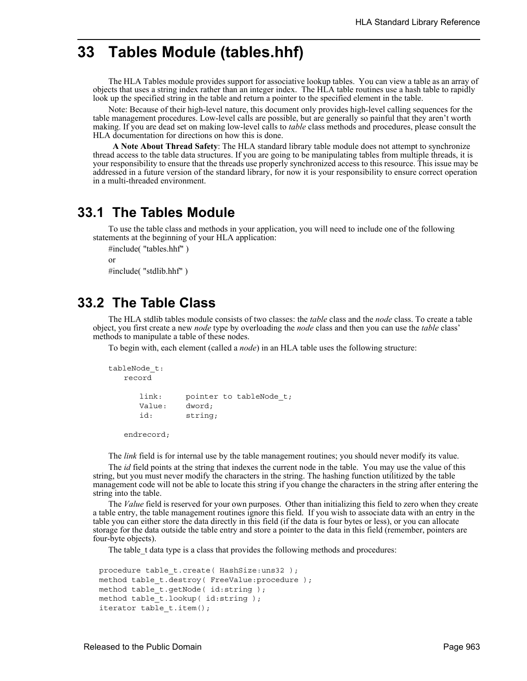# **33 Tables Module (tables.hhf)**

The HLA Tables module provides support for associative lookup tables. You can view a table as an array of objects that uses a string index rather than an integer index. The HLA table routines use a hash table to rapidly look up the specified string in the table and return a pointer to the specified element in the table.

Note: Because of their high-level nature, this document only provides high-level calling sequences for the table management procedures. Low-level calls are possible, but are generally so painful that they aren't worth making. If you are dead set on making low-level calls to *table* class methods and procedures, please consult the HLA documentation for directions on how this is done.

 **A Note About Thread Safety**: The HLA standard library table module does not attempt to synchronize thread access to the table data structures. If you are going to be manipulating tables from multiple threads, it is your responsibility to ensure that the threads use properly synchronized access to this resource. This issue may be addressed in a future version of the standard library, for now it is your responsibility to ensure correct operation in a multi-threaded environment.

### **33.1 The Tables Module**

To use the table class and methods in your application, you will need to include one of the following statements at the beginning of your HLA application:

```
#include( "tables.hhf" )
or
#include( "stdlib.hhf" )
```
## **33.2 The Table Class**

The HLA stdlib tables module consists of two classes: the *table* class and the *node* class. To create a table object, you first create a new *node* type by overloading the *node* class and then you can use the *table* class' methods to manipulate a table of these nodes.

To begin with, each element (called a *node*) in an HLA table uses the following structure:

```
tableNode_t:
  record
     link: pointer to tableNode_t;
     Value: dword;
     id: string;
```
endrecord;

The *link* field is for internal use by the table management routines; you should never modify its value.

The *id* field points at the string that indexes the current node in the table. You may use the value of this string, but you must never modify the characters in the string. The hashing function utilitized by the table management code will not be able to locate this string if you change the characters in the string after entering the string into the table.

The *Value* field is reserved for your own purposes. Other than initializing this field to zero when they create a table entry, the table management routines ignore this field. If you wish to associate data with an entry in the table you can either store the data directly in this field (if the data is four bytes or less), or you can allocate storage for the data outside the table entry and store a pointer to the data in this field (remember, pointers are four-byte objects).

The table t data type is a class that provides the following methods and procedures:

```
procedure table_t.create( HashSize:uns32 ); 
method table_t.destroy( FreeValue:procedure ); 
method table t.getNode( id:string );
method table t.lookup( id:string );
iterator table_t.item();
```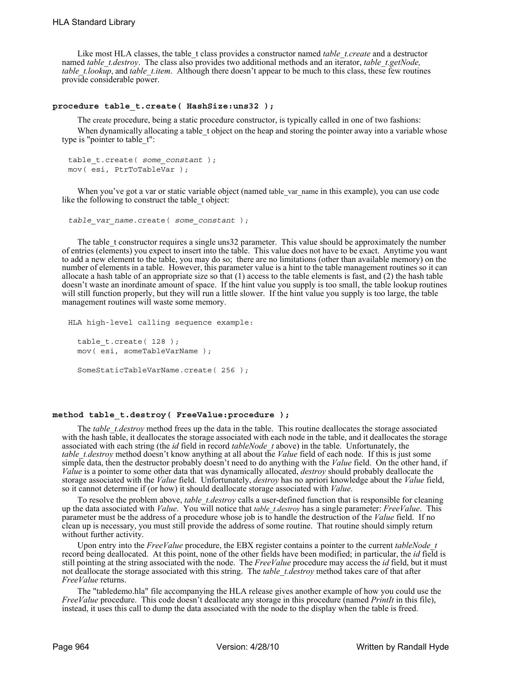Like most HLA classes, the table t class provides a constructor named *table t.create* and a destructor named *table\_t.destroy*. The class also provides two additional methods and an iterator, *table\_t.getNode*, *table t.lookup*, and *table t.item*. Although there doesn't appear to be much to this class, these few routines provide considerable power.

#### **procedure table\_t.create( HashSize:uns32 );**

The create procedure, being a static procedure constructor, is typically called in one of two fashions:

When dynamically allocating a table t object on the heap and storing the pointer away into a variable whose type is "pointer to table\_t":

```
table_t.create( some_constant );
mov( esi, PtrToTableVar );
```
When you've got a var or static variable object (named table var name in this example), you can use code like the following to construct the table t object:

```
table_var_name.create( some_constant );
```
The table t constructor requires a single uns32 parameter. This value should be approximately the number of entries (elements) you expect to insert into the table. This value does not have to be exact. Anytime you want to add a new element to the table, you may do so; there are no limitations (other than available memory) on the number of elements in a table. However, this parameter value is a hint to the table management routines so it can allocate a hash table of an appropriate size so that (1) access to the table elements is fast, and (2) the hash table doesn't waste an inordinate amount of space. If the hint value you supply is too small, the table lookup routines will still function properly, but they will run a little slower. If the hint value you supply is too large, the table management routines will waste some memory.

```
HLA high-level calling sequence example:
  table t.create( 128 );
  mov( esi, someTableVarName );
  SomeStaticTableVarName.create( 256 );
```
#### **method table\_t.destroy( FreeValue:procedure );**

The *table t.destroy* method frees up the data in the table. This routine deallocates the storage associated with the hash table, it deallocates the storage associated with each node in the table, and it deallocates the storage associated with each string (the *id* field in record *tableNode\_t* above) in the table. Unfortunately, the *table\_t.destroy* method doesn't know anything at all about the *Value* field of each node. If this is just some simple data, then the destructor probably doesn't need to do anything with the *Value* field. On the other hand, if *Value* is a pointer to some other data that was dynamically allocated, *destroy* should probably deallocate the storage associated with the *Value* field. Unfortunately, *destroy* has no apriori knowledge about the *Value* field, so it cannot determine if (or how) it should deallocate storage associated with *Value*.

To resolve the problem above, *table\_t.destroy* calls a user-defined function that is responsible for cleaning up the data associated with *Value*. You will notice that *table\_t.destroy* has a single parameter: *FreeValue*. This parameter must be the address of a procedure whose job is to handle the destruction of the *Value* field. If no clean up is necessary, you must still provide the address of some routine. That routine should simply return without further activity.

Upon entry into the *FreeValue* procedure, the EBX register contains a pointer to the current *tableNode* t record being deallocated. At this point, none of the other fields have been modified; in particular, the *id* field is still pointing at the string associated with the node. The *FreeValue* procedure may access the *id* field, but it must not deallocate the storage associated with this string. The *table t.destroy* method takes care of that after *FreeValue* returns.

The "tabledemo.hla" file accompanying the HLA release gives another example of how you could use the *FreeValue* procedure. This code doesn't deallocate any storage in this procedure (named *PrintIt* in this file), instead, it uses this call to dump the data associated with the node to the display when the table is freed.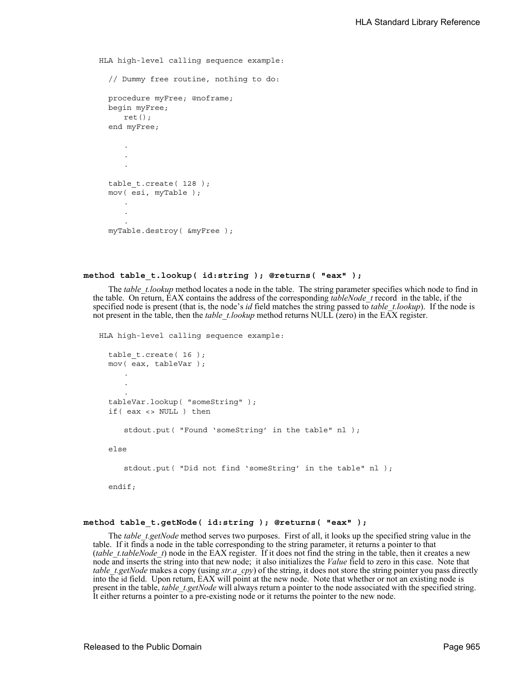HLA high-level calling sequence example: // Dummy free routine, nothing to do: procedure myFree; @noframe; begin myFree; ret(); end myFree; . . .

```
table t.create( 128 );
mov( esi, myTable );
    .
    .
    .
myTable.destroy( &myFree );
```
#### **method table\_t.lookup( id:string ); @returns( "eax" );**

The *table t.lookup* method locates a node in the table. The string parameter specifies which node to find in the table. On return, EAX contains the address of the corresponding *tableNode\_t* record in the table, if the specified node is present (that is, the node's *id* field matches the string passed to *table\_t.lookup*). If the node is not present in the table, then the *table\_t.lookup* method returns NULL (zero) in the EAX register.

HLA high-level calling sequence example:

```
table t.create( 16 );
mov( eax, tableVar );
   .
   .
   .
tableVar.lookup( "someString" );
if( eax <> NULL ) then
   stdout.put( "Found 'someString' in the table" nl );
else
   stdout.put( "Did not find 'someString' in the table" nl );
```
endif;

#### **method table\_t.getNode( id:string ); @returns( "eax" );**

The *table\_t.getNode* method serves two purposes. First of all, it looks up the specified string value in the table. If it finds a node in the table corresponding to the string parameter, it returns a pointer to that (*table\_t.tableNode\_t*) node in the EAX register. If it does not find the string in the table, then it creates a new node and inserts the string into that new node; it also initializes the *Value* field to zero in this case. Note that *table\_t.getNode* makes a copy (using *str.a\_cpy*) of the string, it does not store the string pointer you pass directly into the id field. Upon return, EAX will point at the new node. Note that whether or not an existing node is present in the table, *table\_t.getNode* will always return a pointer to the node associated with the specified string. It either returns a pointer to a pre-existing node or it returns the pointer to the new node.